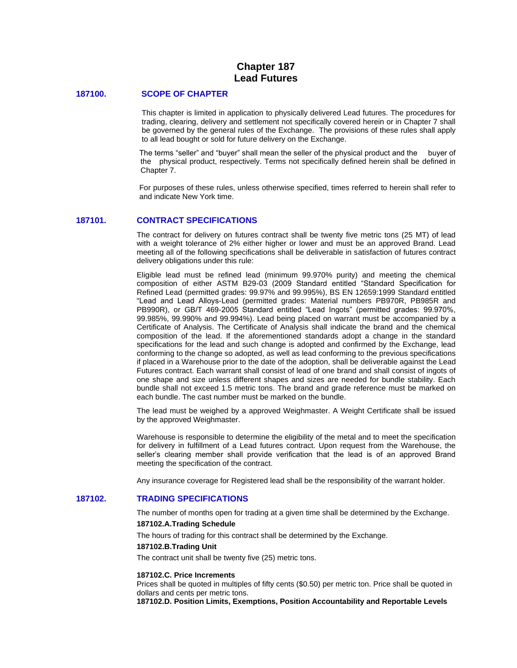# **Chapter 187 Lead Futures**

## **187100. SCOPE OF CHAPTER**

This chapter is limited in application to physically delivered Lead futures. The procedures for trading, clearing, delivery and settlement not specifically covered herein or in Chapter 7 shall be governed by the general rules of the Exchange. The provisions of these rules shall apply to all lead bought or sold for future delivery on the Exchange.

The terms "seller" and "buyer" shall mean the seller of the physical product and the buyer of the physical product, respectively. Terms not specifically defined herein shall be defined in Chapter 7.

For purposes of these rules, unless otherwise specified, times referred to herein shall refer to and indicate New York time.

## **187101. CONTRACT SPECIFICATIONS**

The contract for delivery on futures contract shall be twenty five metric tons (25 MT) of lead with a weight tolerance of 2% either higher or lower and must be an approved Brand. Lead meeting all of the following specifications shall be deliverable in satisfaction of futures contract delivery obligations under this rule:

Eligible lead must be refined lead (minimum 99.970% purity) and meeting the chemical composition of either ASTM B29-03 (2009 Standard entitled "Standard Specification for Refined Lead (permitted grades: 99.97% and 99.995%), BS EN 12659:1999 Standard entitled "Lead and Lead Alloys-Lead (permitted grades: Material numbers PB970R, PB985R and PB990R), or GB/T 469-2005 Standard entitled "Lead Ingots" (permitted grades: 99.970%, 99.985%, 99.990% and 99.994%). Lead being placed on warrant must be accompanied by a Certificate of Analysis. The Certificate of Analysis shall indicate the brand and the chemical composition of the lead. If the aforementioned standards adopt a change in the standard specifications for the lead and such change is adopted and confirmed by the Exchange, lead conforming to the change so adopted, as well as lead conforming to the previous specifications if placed in a Warehouse prior to the date of the adoption, shall be deliverable against the Lead Futures contract. Each warrant shall consist of lead of one brand and shall consist of ingots of one shape and size unless different shapes and sizes are needed for bundle stability. Each bundle shall not exceed 1.5 metric tons. The brand and grade reference must be marked on each bundle. The cast number must be marked on the bundle.

The lead must be weighed by a approved Weighmaster. A Weight Certificate shall be issued by the approved Weighmaster.

Warehouse is responsible to determine the eligibility of the metal and to meet the specification for delivery in fulfillment of a Lead futures contract. Upon request from the Warehouse, the seller's clearing member shall provide verification that the lead is of an approved Brand meeting the specification of the contract.

Any insurance coverage for Registered lead shall be the responsibility of the warrant holder.

## **187102. TRADING SPECIFICATIONS**

The number of months open for trading at a given time shall be determined by the Exchange.

#### **187102.A.Trading Schedule**

The hours of trading for this contract shall be determined by the Exchange.

#### **187102.B.Trading Unit**

The contract unit shall be twenty five (25) metric tons.

#### **187102.C. Price Increments**

Prices shall be quoted in multiples of fifty cents (\$0.50) per metric ton. Price shall be quoted in dollars and cents per metric tons.

**187102.D. Position Limits, Exemptions, Position Accountability and Reportable Levels**